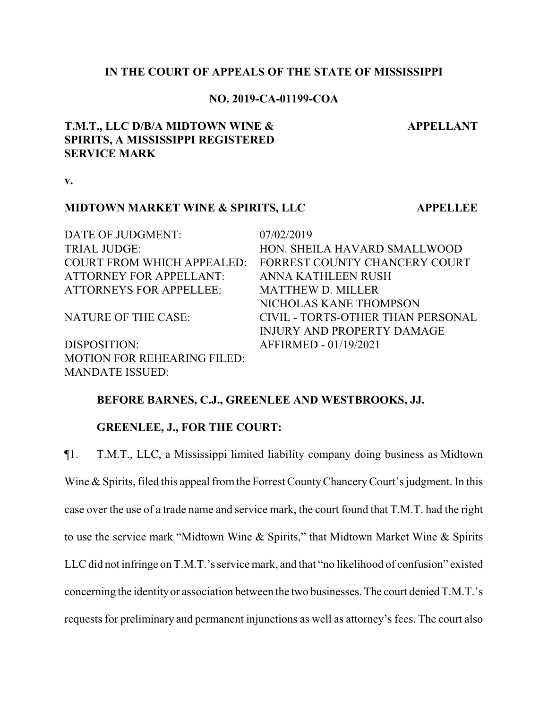## **IN THE COURT OF APPEALS OF THE STATE OF MISSISSIPPI**

### **NO. 2019-CA-01199-COA**

# **T.M.T., LLC D/B/A MIDTOWN WINE & SPIRITS, A MISSISSIPPI REGISTERED SERVICE MARK**

**v.**

## **MIDTOWN MARKET WINE & SPIRITS, LLC APPELLEE**

DATE OF JUDGMENT: 07/02/2019 ATTORNEY FOR APPELLANT: ANNA KATHLEEN RUSH ATTORNEYS FOR APPELLEE: MATTHEW D. MILLER

DISPOSITION: AFFIRMED - 01/19/2021 MOTION FOR REHEARING FILED: MANDATE ISSUED:

TRIAL JUDGE: HON. SHEILA HAVARD SMALLWOOD COURT FROM WHICH APPEALED: FORREST COUNTY CHANCERY COURT NICHOLAS KANE THOMPSON NATURE OF THE CASE: CIVIL - TORTS-OTHER THAN PERSONAL INJURY AND PROPERTY DAMAGE

### **BEFORE BARNES, C.J., GREENLEE AND WESTBROOKS, JJ.**

#### **GREENLEE, J., FOR THE COURT:**

¶1. T.M.T., LLC, a Mississippi limited liability company doing business as Midtown Wine & Spirits, filed this appeal from the Forrest County Chancery Court's judgment. In this case over the use of a trade name and service mark, the court found that T.M.T. had the right to use the service mark "Midtown Wine & Spirits," that Midtown Market Wine & Spirits LLC did not infringe on T.M.T.'s service mark, and that "no likelihood of confusion" existed concerning the identityor association between the two businesses. The court denied T.M.T.'s requests for preliminary and permanent injunctions as well as attorney's fees. The court also

**APPELLANT**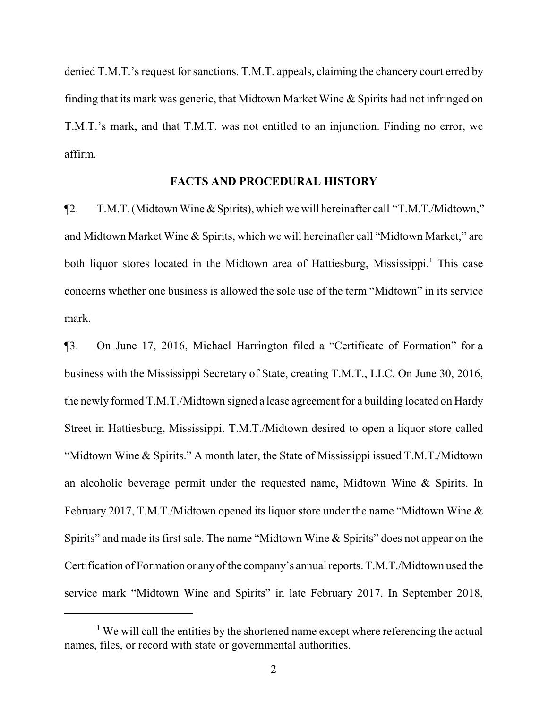denied T.M.T.'s request for sanctions. T.M.T. appeals, claiming the chancery court erred by finding that its mark was generic, that Midtown Market Wine & Spirits had not infringed on T.M.T.'s mark, and that T.M.T. was not entitled to an injunction. Finding no error, we affirm.

#### **FACTS AND PROCEDURAL HISTORY**

¶2. T.M.T. (Midtown Wine & Spirits), which we will hereinafter call "T.M.T./Midtown," and Midtown Market Wine & Spirits, which we will hereinafter call "Midtown Market," are both liquor stores located in the Midtown area of Hattiesburg, Mississippi.<sup>1</sup> This case concerns whether one business is allowed the sole use of the term "Midtown" in its service mark.

¶3. On June 17, 2016, Michael Harrington filed a "Certificate of Formation" for a business with the Mississippi Secretary of State, creating T.M.T., LLC. On June 30, 2016, the newly formed T.M.T./Midtown signed a lease agreement for a building located on Hardy Street in Hattiesburg, Mississippi. T.M.T./Midtown desired to open a liquor store called "Midtown Wine & Spirits." A month later, the State of Mississippi issued T.M.T./Midtown an alcoholic beverage permit under the requested name, Midtown Wine & Spirits. In February 2017, T.M.T./Midtown opened its liquor store under the name "Midtown Wine & Spirits" and made its first sale. The name "Midtown Wine & Spirits" does not appear on the Certification of Formation or anyofthe company's annual reports. T.M.T./Midtown used the service mark "Midtown Wine and Spirits" in late February 2017. In September 2018,

 $<sup>1</sup>$  We will call the entities by the shortened name except where referencing the actual</sup> names, files, or record with state or governmental authorities.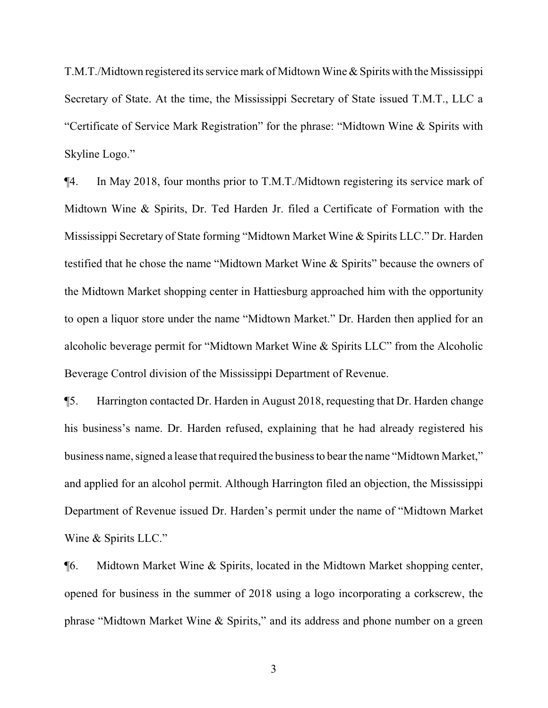T.M.T./Midtown registered its service mark of Midtown Wine & Spirits with the Mississippi Secretary of State. At the time, the Mississippi Secretary of State issued T.M.T., LLC a "Certificate of Service Mark Registration" for the phrase: "Midtown Wine & Spirits with Skyline Logo."

¶4. In May 2018, four months prior to T.M.T./Midtown registering its service mark of Midtown Wine & Spirits, Dr. Ted Harden Jr. filed a Certificate of Formation with the Mississippi Secretary of State forming "Midtown Market Wine & Spirits LLC." Dr. Harden testified that he chose the name "Midtown Market Wine & Spirits" because the owners of the Midtown Market shopping center in Hattiesburg approached him with the opportunity to open a liquor store under the name "Midtown Market." Dr. Harden then applied for an alcoholic beverage permit for "Midtown Market Wine & Spirits LLC" from the Alcoholic Beverage Control division of the Mississippi Department of Revenue.

¶5. Harrington contacted Dr. Harden in August 2018, requesting that Dr. Harden change his business's name. Dr. Harden refused, explaining that he had already registered his business name, signed a lease that required the business to bear the name "Midtown Market," and applied for an alcohol permit. Although Harrington filed an objection, the Mississippi Department of Revenue issued Dr. Harden's permit under the name of "Midtown Market Wine & Spirits LLC."

¶6. Midtown Market Wine & Spirits, located in the Midtown Market shopping center, opened for business in the summer of 2018 using a logo incorporating a corkscrew, the phrase "Midtown Market Wine & Spirits," and its address and phone number on a green

3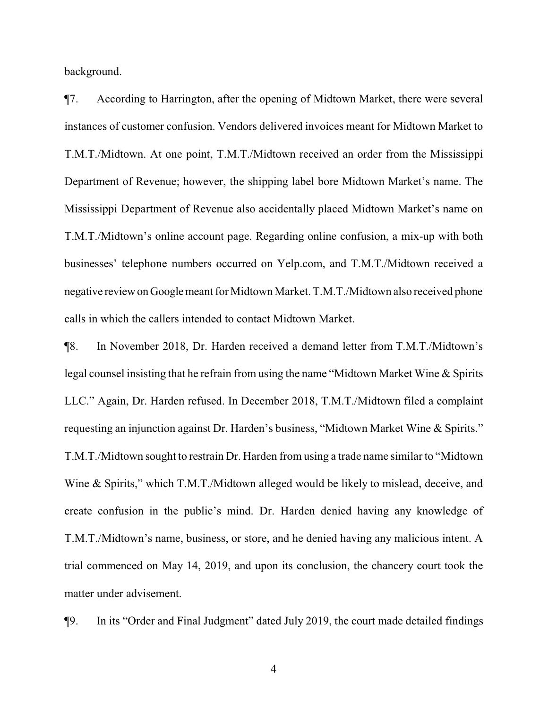background.

¶7. According to Harrington, after the opening of Midtown Market, there were several instances of customer confusion. Vendors delivered invoices meant for Midtown Market to T.M.T./Midtown. At one point, T.M.T./Midtown received an order from the Mississippi Department of Revenue; however, the shipping label bore Midtown Market's name. The Mississippi Department of Revenue also accidentally placed Midtown Market's name on T.M.T./Midtown's online account page. Regarding online confusion, a mix-up with both businesses' telephone numbers occurred on Yelp.com, and T.M.T./Midtown received a negative reviewonGooglemeant for Midtown Market. T.M.T./Midtown also received phone calls in which the callers intended to contact Midtown Market.

¶8. In November 2018, Dr. Harden received a demand letter from T.M.T./Midtown's legal counsel insisting that he refrain from using the name "Midtown Market Wine & Spirits LLC." Again, Dr. Harden refused. In December 2018, T.M.T./Midtown filed a complaint requesting an injunction against Dr. Harden's business, "Midtown Market Wine & Spirits." T.M.T./Midtown sought to restrain Dr. Harden from using a trade name similar to "Midtown Wine & Spirits," which T.M.T./Midtown alleged would be likely to mislead, deceive, and create confusion in the public's mind. Dr. Harden denied having any knowledge of T.M.T./Midtown's name, business, or store, and he denied having any malicious intent. A trial commenced on May 14, 2019, and upon its conclusion, the chancery court took the matter under advisement.

¶9. In its "Order and Final Judgment" dated July 2019, the court made detailed findings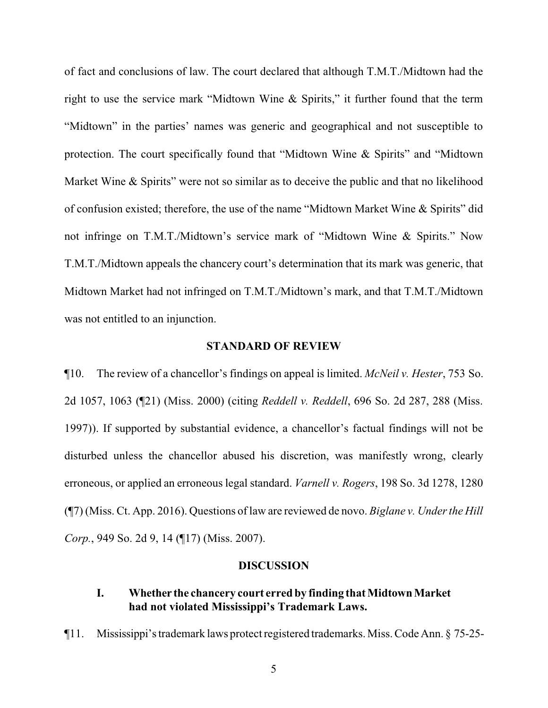of fact and conclusions of law. The court declared that although T.M.T./Midtown had the right to use the service mark "Midtown Wine & Spirits," it further found that the term "Midtown" in the parties' names was generic and geographical and not susceptible to protection. The court specifically found that "Midtown Wine & Spirits" and "Midtown Market Wine & Spirits" were not so similar as to deceive the public and that no likelihood of confusion existed; therefore, the use of the name "Midtown Market Wine & Spirits" did not infringe on T.M.T./Midtown's service mark of "Midtown Wine & Spirits." Now T.M.T./Midtown appeals the chancery court's determination that its mark was generic, that Midtown Market had not infringed on T.M.T./Midtown's mark, and that T.M.T./Midtown was not entitled to an injunction.

#### **STANDARD OF REVIEW**

¶10. The review of a chancellor's findings on appeal is limited. *McNeil v. Hester*, 753 So. 2d 1057, 1063 (¶21) (Miss. 2000) (citing *Reddell v. Reddell*, 696 So. 2d 287, 288 (Miss. 1997)). If supported by substantial evidence, a chancellor's factual findings will not be disturbed unless the chancellor abused his discretion, was manifestly wrong, clearly erroneous, or applied an erroneous legal standard. *Varnell v. Rogers*, 198 So. 3d 1278, 1280 (¶7) (Miss. Ct. App. 2016). Questions of law are reviewed de novo. *Biglane v. Under the Hill Corp.*, 949 So. 2d 9, 14 (¶17) (Miss. 2007).

### **DISCUSSION**

## **I. Whether the chancery court erred by finding that MidtownMarket had not violated Mississippi's Trademark Laws.**

¶11. Mississippi's trademark laws protect registered trademarks. Miss. Code Ann. § 75-25-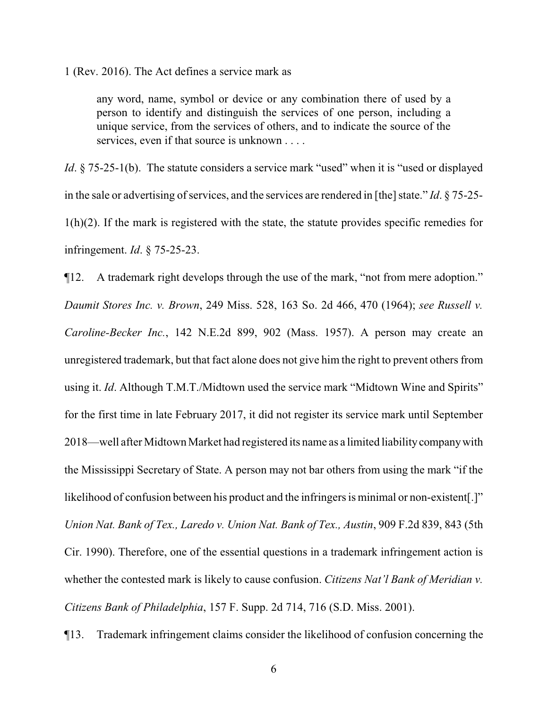1 (Rev. 2016). The Act defines a service mark as

any word, name, symbol or device or any combination there of used by a person to identify and distinguish the services of one person, including a unique service, from the services of others, and to indicate the source of the services, even if that source is unknown . . . .

*Id*. § 75-25-1(b). The statute considers a service mark "used" when it is "used or displayed in the sale or advertising of services, and the services are rendered in [the] state."  $Id. \S$  75-25- $1(h)(2)$ . If the mark is registered with the state, the statute provides specific remedies for infringement. *Id*. § 75-25-23.

¶12. A trademark right develops through the use of the mark, "not from mere adoption." *Daumit Stores Inc. v. Brown*, 249 Miss. 528, 163 So. 2d 466, 470 (1964); *see Russell v. Caroline-Becker Inc.*, 142 N.E.2d 899, 902 (Mass. 1957). A person may create an unregistered trademark, but that fact alone does not give him the right to prevent others from using it. *Id*. Although T.M.T./Midtown used the service mark "Midtown Wine and Spirits" for the first time in late February 2017, it did not register its service mark until September 2018—well after Midtown Market had registered its name as a limited liabilitycompanywith the Mississippi Secretary of State. A person may not bar others from using the mark "if the likelihood of confusion between his product and the infringers is minimal or non-existent[.]" *Union Nat. Bank of Tex., Laredo v. Union Nat. Bank of Tex., Austin*, 909 F.2d 839, 843 (5th Cir. 1990). Therefore, one of the essential questions in a trademark infringement action is whether the contested mark is likely to cause confusion. *Citizens Nat'l Bank of Meridian v. Citizens Bank of Philadelphia*, 157 F. Supp. 2d 714, 716 (S.D. Miss. 2001).

¶13. Trademark infringement claims consider the likelihood of confusion concerning the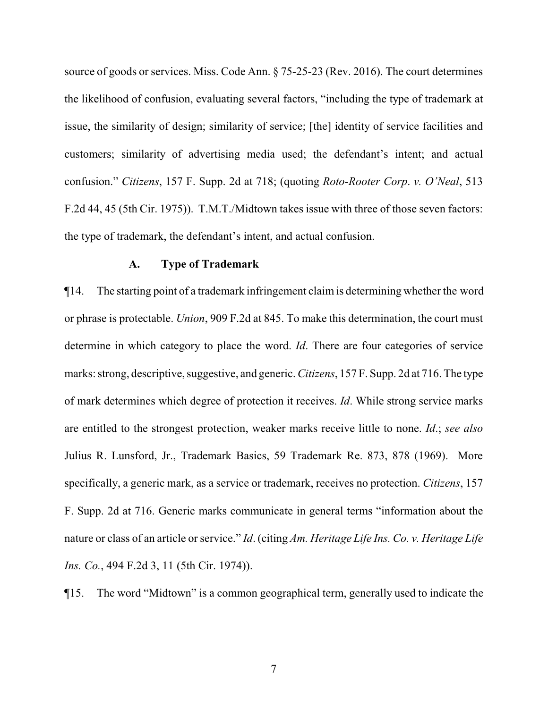source of goods or services. Miss. Code Ann. § 75-25-23 (Rev. 2016). The court determines the likelihood of confusion, evaluating several factors, "including the type of trademark at issue, the similarity of design; similarity of service; [the] identity of service facilities and customers; similarity of advertising media used; the defendant's intent; and actual confusion." *Citizens*, 157 F. Supp. 2d at 718; (quoting *Roto-Rooter Corp*. *v. O'Neal*, 513 F.2d 44, 45 (5th Cir. 1975)). T.M.T./Midtown takes issue with three of those seven factors: the type of trademark, the defendant's intent, and actual confusion.

#### **A. Type of Trademark**

¶14. The starting point of a trademark infringement claim is determining whether the word or phrase is protectable. *Union*, 909 F.2d at 845. To make this determination, the court must determine in which category to place the word. *Id*. There are four categories of service marks: strong, descriptive, suggestive, and generic.*Citizens*, 157 F. Supp. 2d at 716. The type of mark determines which degree of protection it receives. *Id*. While strong service marks are entitled to the strongest protection, weaker marks receive little to none. *Id*.; *see also*  Julius R. Lunsford, Jr., Trademark Basics, 59 Trademark Re. 873, 878 (1969). More specifically, a generic mark, as a service or trademark, receives no protection. *Citizens*, 157 F. Supp. 2d at 716. Generic marks communicate in general terms "information about the nature or class of an article or service." *Id*. (citing *Am. Heritage Life Ins. Co. v. Heritage Life Ins. Co.*, 494 F.2d 3, 11 (5th Cir. 1974)).

¶15. The word "Midtown" is a common geographical term, generally used to indicate the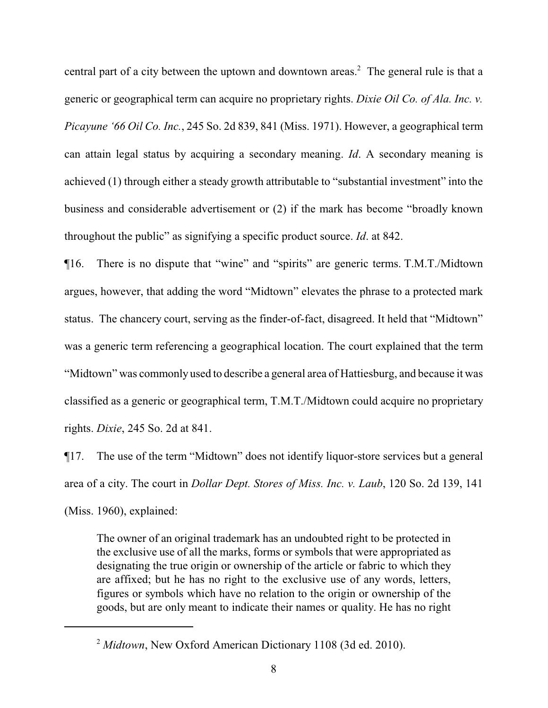central part of a city between the uptown and downtown areas.<sup>2</sup> The general rule is that a generic or geographical term can acquire no proprietary rights. *Dixie Oil Co. of Ala. Inc. v. Picayune '66 Oil Co. Inc.*, 245 So. 2d 839, 841 (Miss. 1971). However, a geographical term can attain legal status by acquiring a secondary meaning. *Id*. A secondary meaning is achieved (1) through either a steady growth attributable to "substantial investment" into the business and considerable advertisement or (2) if the mark has become "broadly known throughout the public" as signifying a specific product source. *Id*. at 842.

¶16. There is no dispute that "wine" and "spirits" are generic terms. T.M.T./Midtown argues, however, that adding the word "Midtown" elevates the phrase to a protected mark status. The chancery court, serving as the finder-of-fact, disagreed. It held that "Midtown" was a generic term referencing a geographical location. The court explained that the term "Midtown" was commonly used to describe a general area of Hattiesburg, and because it was classified as a generic or geographical term, T.M.T./Midtown could acquire no proprietary rights. *Dixie*, 245 So. 2d at 841.

¶17. The use of the term "Midtown" does not identify liquor-store services but a general area of a city. The court in *Dollar Dept. Stores of Miss. Inc. v. Laub*, 120 So. 2d 139, 141 (Miss. 1960), explained:

The owner of an original trademark has an undoubted right to be protected in the exclusive use of all the marks, forms or symbols that were appropriated as designating the true origin or ownership of the article or fabric to which they are affixed; but he has no right to the exclusive use of any words, letters, figures or symbols which have no relation to the origin or ownership of the goods, but are only meant to indicate their names or quality. He has no right

<sup>2</sup> *Midtown*, New Oxford American Dictionary 1108 (3d ed. 2010).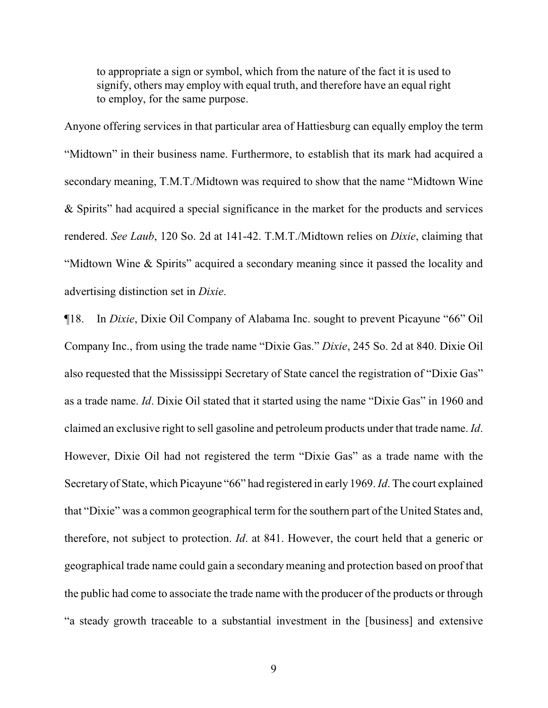to appropriate a sign or symbol, which from the nature of the fact it is used to signify, others may employ with equal truth, and therefore have an equal right to employ, for the same purpose.

Anyone offering services in that particular area of Hattiesburg can equally employ the term "Midtown" in their business name. Furthermore, to establish that its mark had acquired a secondary meaning, T.M.T./Midtown was required to show that the name "Midtown Wine & Spirits" had acquired a special significance in the market for the products and services rendered. *See Laub*, 120 So. 2d at 141-42. T.M.T./Midtown relies on *Dixie*, claiming that "Midtown Wine & Spirits" acquired a secondary meaning since it passed the locality and advertising distinction set in *Dixie*.

¶18. In *Dixie*, Dixie Oil Company of Alabama Inc. sought to prevent Picayune "66" Oil Company Inc., from using the trade name "Dixie Gas." *Dixie*, 245 So. 2d at 840. Dixie Oil also requested that the Mississippi Secretary of State cancel the registration of "Dixie Gas" as a trade name. *Id*. Dixie Oil stated that it started using the name "Dixie Gas" in 1960 and claimed an exclusive right to sell gasoline and petroleum products under that trade name. *Id*. However, Dixie Oil had not registered the term "Dixie Gas" as a trade name with the Secretary of State, which Picayune "66" had registered in early 1969. *Id*. The court explained that "Dixie" was a common geographical term for the southern part of the United States and, therefore, not subject to protection. *Id*. at 841. However, the court held that a generic or geographical trade name could gain a secondary meaning and protection based on proof that the public had come to associate the trade name with the producer of the products or through "a steady growth traceable to a substantial investment in the [business] and extensive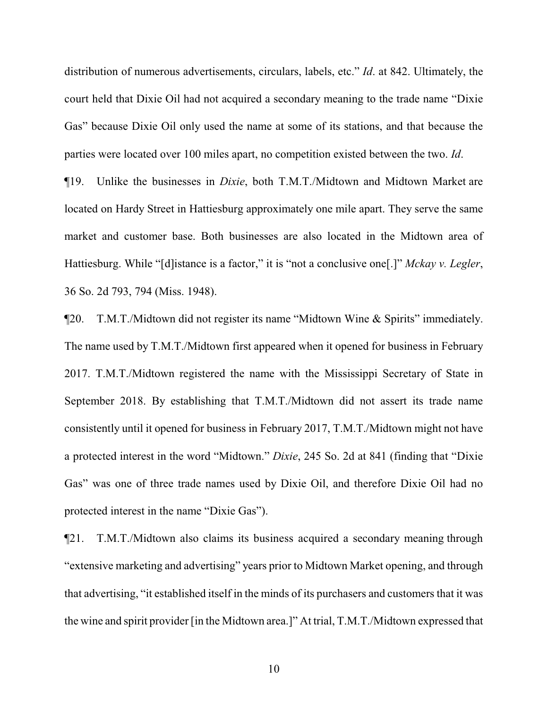distribution of numerous advertisements, circulars, labels, etc." *Id*. at 842. Ultimately, the court held that Dixie Oil had not acquired a secondary meaning to the trade name "Dixie Gas" because Dixie Oil only used the name at some of its stations, and that because the parties were located over 100 miles apart, no competition existed between the two. *Id*.

¶19. Unlike the businesses in *Dixie*, both T.M.T./Midtown and Midtown Market are located on Hardy Street in Hattiesburg approximately one mile apart. They serve the same market and customer base. Both businesses are also located in the Midtown area of Hattiesburg. While "[d]istance is a factor," it is "not a conclusive one[.]" *Mckay v. Legler*, 36 So. 2d 793, 794 (Miss. 1948).

¶20. T.M.T./Midtown did not register its name "Midtown Wine & Spirits" immediately. The name used by T.M.T./Midtown first appeared when it opened for business in February 2017. T.M.T./Midtown registered the name with the Mississippi Secretary of State in September 2018. By establishing that T.M.T./Midtown did not assert its trade name consistently until it opened for business in February 2017, T.M.T./Midtown might not have a protected interest in the word "Midtown." *Dixie*, 245 So. 2d at 841 (finding that "Dixie Gas" was one of three trade names used by Dixie Oil, and therefore Dixie Oil had no protected interest in the name "Dixie Gas").

¶21. T.M.T./Midtown also claims its business acquired a secondary meaning through "extensive marketing and advertising" years prior to Midtown Market opening, and through that advertising, "it established itself in the minds of its purchasers and customers that it was the wine and spirit provider [in the Midtown area.]" At trial, T.M.T./Midtown expressed that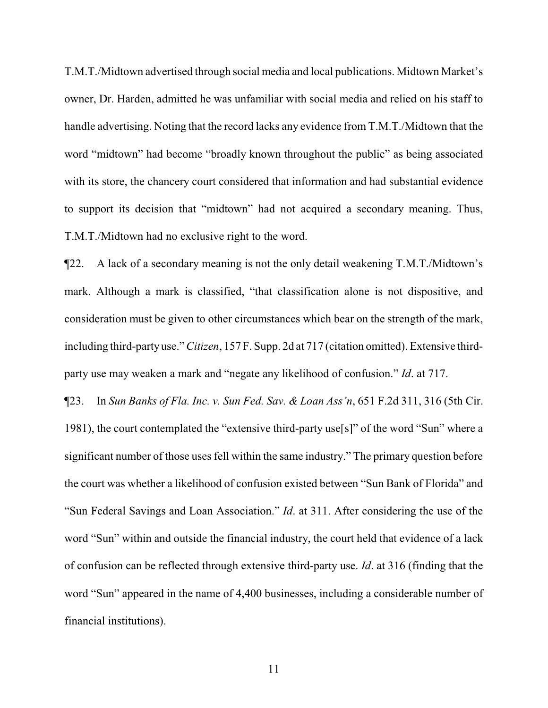T.M.T./Midtown advertised through social media and local publications. Midtown Market's owner, Dr. Harden, admitted he was unfamiliar with social media and relied on his staff to handle advertising. Noting that the record lacks any evidence from T.M.T./Midtown that the word "midtown" had become "broadly known throughout the public" as being associated with its store, the chancery court considered that information and had substantial evidence to support its decision that "midtown" had not acquired a secondary meaning. Thus, T.M.T./Midtown had no exclusive right to the word.

¶22. A lack of a secondary meaning is not the only detail weakening T.M.T./Midtown's mark. Although a mark is classified, "that classification alone is not dispositive, and consideration must be given to other circumstances which bear on the strength of the mark, including third-partyuse." *Citizen*, 157 F. Supp. 2d at 717 (citation omitted). Extensive thirdparty use may weaken a mark and "negate any likelihood of confusion." *Id*. at 717.

¶23. In *Sun Banks of Fla. Inc. v. Sun Fed. Sav. & Loan Ass'n*, 651 F.2d 311, 316 (5th Cir. 1981), the court contemplated the "extensive third-party use[s]" of the word "Sun" where a significant number of those uses fell within the same industry." The primary question before the court was whether a likelihood of confusion existed between "Sun Bank of Florida" and "Sun Federal Savings and Loan Association." *Id*. at 311. After considering the use of the word "Sun" within and outside the financial industry, the court held that evidence of a lack of confusion can be reflected through extensive third-party use. *Id*. at 316 (finding that the word "Sun" appeared in the name of 4,400 businesses, including a considerable number of financial institutions).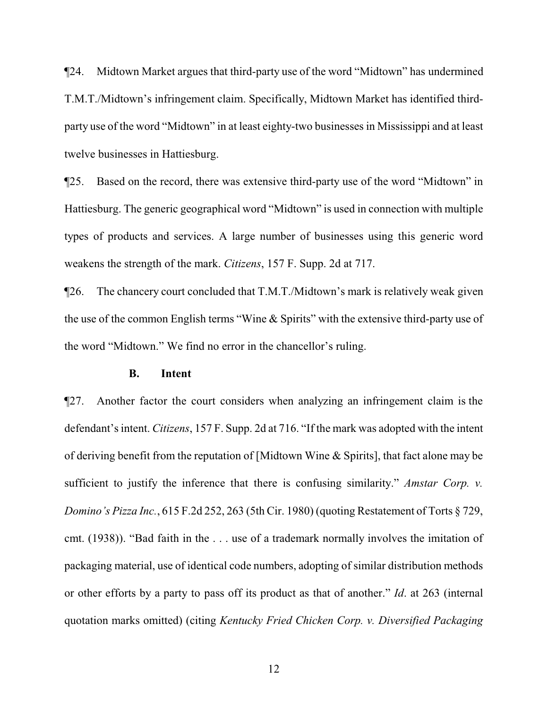¶24. Midtown Market argues that third-party use of the word "Midtown" has undermined T.M.T./Midtown's infringement claim. Specifically, Midtown Market has identified thirdparty use of the word "Midtown" in at least eighty-two businesses in Mississippi and at least twelve businesses in Hattiesburg.

¶25. Based on the record, there was extensive third-party use of the word "Midtown" in Hattiesburg. The generic geographical word "Midtown" is used in connection with multiple types of products and services. A large number of businesses using this generic word weakens the strength of the mark. *Citizens*, 157 F. Supp. 2d at 717.

¶26. The chancery court concluded that T.M.T./Midtown's mark is relatively weak given the use of the common English terms "Wine & Spirits" with the extensive third-party use of the word "Midtown." We find no error in the chancellor's ruling.

#### **B. Intent**

¶27. Another factor the court considers when analyzing an infringement claim is the defendant's intent. *Citizens*, 157 F. Supp. 2d at 716. "If the mark was adopted with the intent of deriving benefit from the reputation of [Midtown Wine & Spirits], that fact alone may be sufficient to justify the inference that there is confusing similarity." *Amstar Corp. v. Domino's Pizza Inc.*, 615 F.2d 252, 263 (5th Cir. 1980) (quoting Restatement of Torts § 729, cmt. (1938)). "Bad faith in the . . . use of a trademark normally involves the imitation of packaging material, use of identical code numbers, adopting of similar distribution methods or other efforts by a party to pass off its product as that of another." *Id*. at 263 (internal quotation marks omitted) (citing *Kentucky Fried Chicken Corp. v. Diversified Packaging*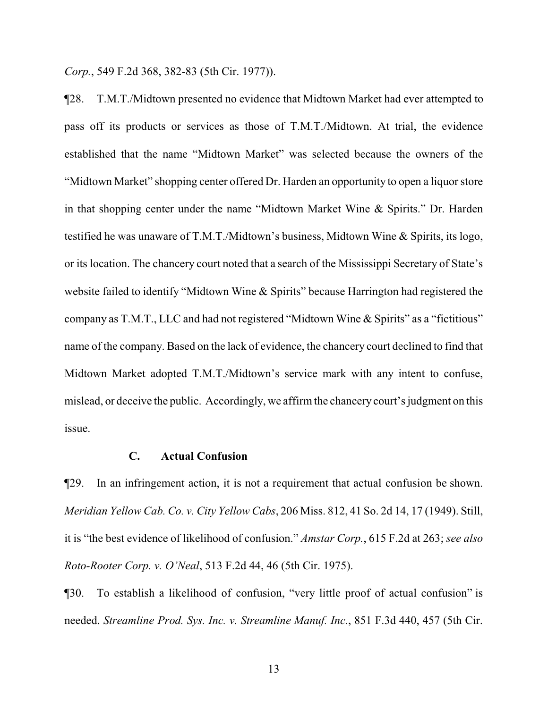*Corp.*, 549 F.2d 368, 382-83 (5th Cir. 1977)).

¶28. T.M.T./Midtown presented no evidence that Midtown Market had ever attempted to pass off its products or services as those of T.M.T./Midtown. At trial, the evidence established that the name "Midtown Market" was selected because the owners of the "Midtown Market" shopping center offered Dr. Harden an opportunity to open a liquor store in that shopping center under the name "Midtown Market Wine & Spirits." Dr. Harden testified he was unaware of T.M.T./Midtown's business, Midtown Wine & Spirits, its logo, or its location. The chancery court noted that a search of the Mississippi Secretary of State's website failed to identify "Midtown Wine & Spirits" because Harrington had registered the company as T.M.T., LLC and had not registered "Midtown Wine & Spirits" as a "fictitious" name of the company. Based on the lack of evidence, the chancery court declined to find that Midtown Market adopted T.M.T./Midtown's service mark with any intent to confuse, mislead, or deceive the public. Accordingly, we affirmthe chancery court's judgment on this issue.

#### **C. Actual Confusion**

¶29. In an infringement action, it is not a requirement that actual confusion be shown. *Meridian Yellow Cab. Co. v. City Yellow Cabs*, 206 Miss. 812, 41 So. 2d 14, 17 (1949). Still, it is "the best evidence of likelihood of confusion." *Amstar Corp.*, 615 F.2d at 263; *see also Roto-Rooter Corp. v. O'Neal*, 513 F.2d 44, 46 (5th Cir. 1975).

¶30. To establish a likelihood of confusion, "very little proof of actual confusion" is needed. *Streamline Prod. Sys. Inc. v. Streamline Manuf. Inc.*, 851 F.3d 440, 457 (5th Cir.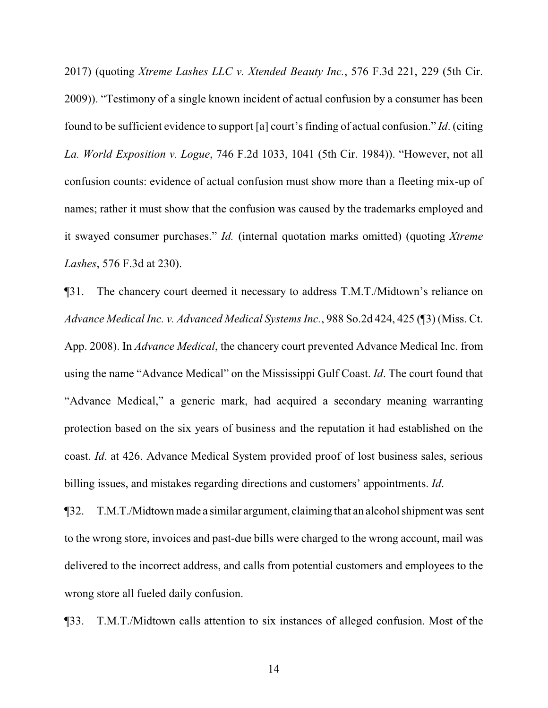2017) (quoting *Xtreme Lashes LLC v. Xtended Beauty Inc.*, 576 F.3d 221, 229 (5th Cir. 2009)). "Testimony of a single known incident of actual confusion by a consumer has been found to be sufficient evidence to support [a] court's finding of actual confusion." *Id*. (citing *La. World Exposition v. Logue*, 746 F.2d 1033, 1041 (5th Cir. 1984)). "However, not all confusion counts: evidence of actual confusion must show more than a fleeting mix-up of names; rather it must show that the confusion was caused by the trademarks employed and it swayed consumer purchases." *Id.* (internal quotation marks omitted) (quoting *Xtreme Lashes*, 576 F.3d at 230).

¶31. The chancery court deemed it necessary to address T.M.T./Midtown's reliance on *Advance Medical Inc. v. Advanced Medical Systems Inc.*, 988 So.2d 424, 425 (¶3) (Miss. Ct. App. 2008). In *Advance Medical*, the chancery court prevented Advance Medical Inc. from using the name "Advance Medical" on the Mississippi Gulf Coast. *Id*. The court found that "Advance Medical," a generic mark, had acquired a secondary meaning warranting protection based on the six years of business and the reputation it had established on the coast. *Id*. at 426. Advance Medical System provided proof of lost business sales, serious billing issues, and mistakes regarding directions and customers' appointments. *Id*.

¶32. T.M.T./Midtown made a similar argument, claiming that an alcohol shipmentwas sent to the wrong store, invoices and past-due bills were charged to the wrong account, mail was delivered to the incorrect address, and calls from potential customers and employees to the wrong store all fueled daily confusion.

¶33. T.M.T./Midtown calls attention to six instances of alleged confusion. Most of the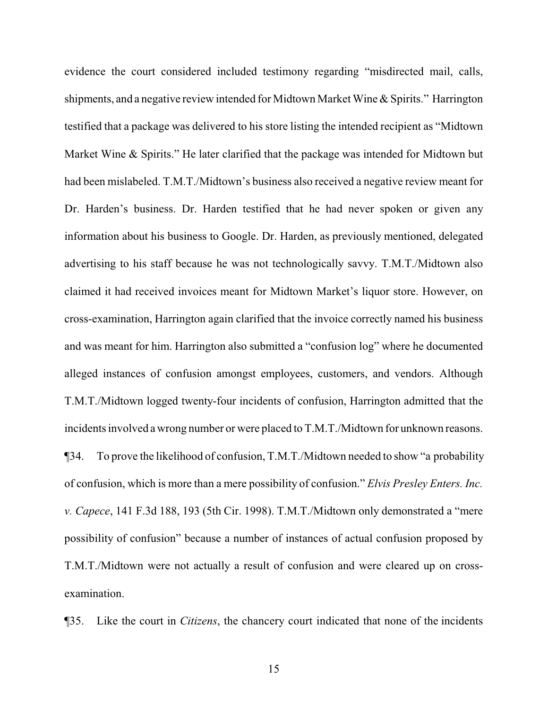evidence the court considered included testimony regarding "misdirected mail, calls, shipments, and a negative review intended for Midtown Market Wine & Spirits." Harrington testified that a package was delivered to his store listing the intended recipient as "Midtown Market Wine & Spirits." He later clarified that the package was intended for Midtown but had been mislabeled. T.M.T./Midtown's business also received a negative review meant for Dr. Harden's business. Dr. Harden testified that he had never spoken or given any information about his business to Google. Dr. Harden, as previously mentioned, delegated advertising to his staff because he was not technologically savvy. T.M.T./Midtown also claimed it had received invoices meant for Midtown Market's liquor store. However, on cross-examination, Harrington again clarified that the invoice correctly named his business and was meant for him. Harrington also submitted a "confusion log" where he documented alleged instances of confusion amongst employees, customers, and vendors. Although T.M.T./Midtown logged twenty-four incidents of confusion, Harrington admitted that the incidents involved a wrong number or were placed to T.M.T./Midtown for unknown reasons. ¶34. To prove the likelihood of confusion, T.M.T./Midtown needed to show "a probability of confusion, which is more than a mere possibility of confusion." *Elvis Presley Enters. Inc. v. Capece*, 141 F.3d 188, 193 (5th Cir. 1998). T.M.T./Midtown only demonstrated a "mere possibility of confusion" because a number of instances of actual confusion proposed by T.M.T./Midtown were not actually a result of confusion and were cleared up on crossexamination.

¶35. Like the court in *Citizens*, the chancery court indicated that none of the incidents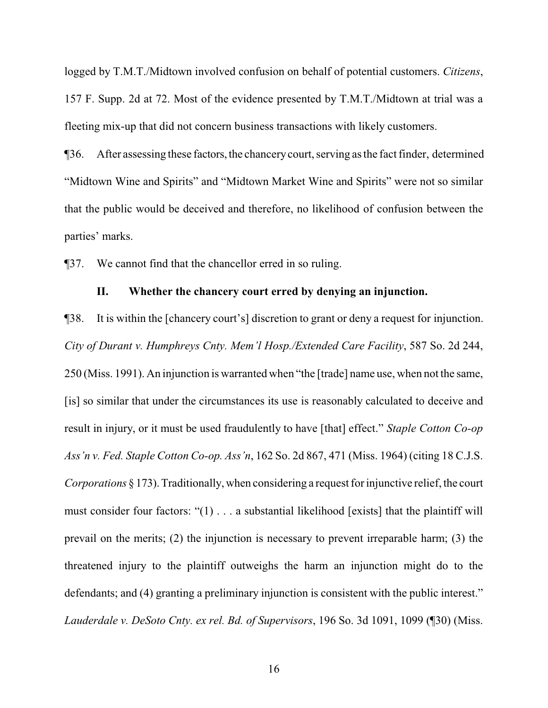logged by T.M.T./Midtown involved confusion on behalf of potential customers. *Citizens*, 157 F. Supp. 2d at 72. Most of the evidence presented by T.M.T./Midtown at trial was a fleeting mix-up that did not concern business transactions with likely customers.

¶36. After assessing these factors,the chancerycourt, serving as the fact finder, determined "Midtown Wine and Spirits" and "Midtown Market Wine and Spirits" were not so similar that the public would be deceived and therefore, no likelihood of confusion between the parties' marks.

¶37. We cannot find that the chancellor erred in so ruling.

## **II. Whether the chancery court erred by denying an injunction.**

¶38. It is within the [chancery court's] discretion to grant or deny a request for injunction. *City of Durant v. Humphreys Cnty. Mem'l Hosp./Extended Care Facility*, 587 So. 2d 244, 250 (Miss. 1991). An injunction is warranted when "the [trade] name use, when not the same, [is] so similar that under the circumstances its use is reasonably calculated to deceive and result in injury, or it must be used fraudulently to have [that] effect." *Staple Cotton Co-op Ass'n v. Fed. Staple Cotton Co-op. Ass'n*, 162 So. 2d 867, 471 (Miss. 1964) (citing 18 C.J.S. *Corporations* § 173). Traditionally, when considering a request for injunctive relief, the court must consider four factors: "(1) . . . a substantial likelihood [exists] that the plaintiff will prevail on the merits; (2) the injunction is necessary to prevent irreparable harm; (3) the threatened injury to the plaintiff outweighs the harm an injunction might do to the defendants; and (4) granting a preliminary injunction is consistent with the public interest." *Lauderdale v. DeSoto Cnty. ex rel. Bd. of Supervisors*, 196 So. 3d 1091, 1099 (¶30) (Miss.